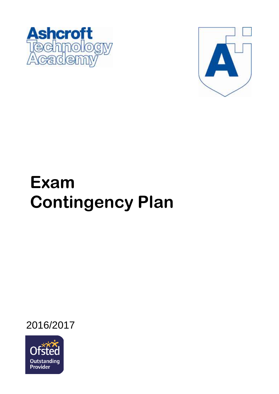



# **Exam Contingency Plan**

2016/2017

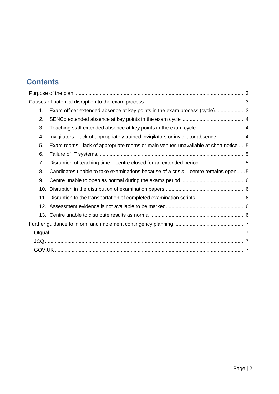# **Contents**

| 1.  | Exam officer extended absence at key points in the exam process (cycle) 3            |
|-----|--------------------------------------------------------------------------------------|
| 2.  |                                                                                      |
| 3.  | Teaching staff extended absence at key points in the exam cycle  4                   |
| 4.  | Invigilators - lack of appropriately trained invigilators or invigilator absence 4   |
| 5.  | Exam rooms - lack of appropriate rooms or main venues unavailable at short notice  5 |
| 6.  |                                                                                      |
| 7.  |                                                                                      |
| 8.  | Candidates unable to take examinations because of a crisis – centre remains open5    |
| 9.  |                                                                                      |
| 10. |                                                                                      |
|     |                                                                                      |
|     |                                                                                      |
|     |                                                                                      |
|     |                                                                                      |
|     |                                                                                      |
|     |                                                                                      |
|     |                                                                                      |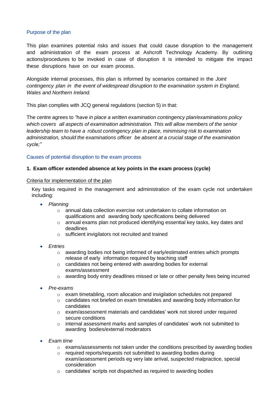# Purpose of the plan

This plan examines potential risks and issues that could cause disruption to the management and administration of the exam process at Ashcroft Technology Academy. By outlining actions/procedures to be invoked in case of disruption it is intended to mitigate the impact these disruptions have on our exam process.

Alongside internal processes, this plan is informed by scenarios contained in the *Joint contingency plan in the event of widespread disruption to the examination system in England, Wales and Northern Ireland.*

This plan complies with JCQ general regulations (section 5) in that:

The centre agrees to *"have in place a written examination contingency plan/examinations policy which covers all aspects of examination administration. This will allow members of the senior leadership team to have a robust contingency plan in place, minimising risk to examination administration, should the examinations officer be absent at a crucial stage of the examination cycle;"*

#### <span id="page-2-0"></span>Causes of potential disruption to the exam process

#### <span id="page-2-1"></span>**1. Exam officer extended absence at key points in the exam process (cycle)**

#### Criteria for implementation of the plan

Key tasks required in the management and administration of the exam cycle not undertaken including:

- *Planning*
	- o annual data collection exercise not undertaken to collate information on qualifications and awarding body specifications being delivered
	- o annual exams plan not produced identifying essential key tasks, key dates and deadlines
	- o sufficient invigilators not recruited and trained
- *Entries*
	- $\circ$  awarding bodies not being informed of early/estimated entries which prompts release of early information required by teaching staff
	- o candidates not being entered with awarding bodies for external exams/assessment
	- $\circ$  awarding body entry deadlines missed or late or other penalty fees being incurred
- *Pre-exams*
	- o exam timetabling, room allocation and invigilation schedules not prepared
	- $\circ$  candidates not briefed on exam timetables and awarding body information for candidates
	- o exam/assessment materials and candidates' work not stored under required secure conditions
	- $\circ$  internal assessment marks and samples of candidates' work not submitted to awarding bodies/external moderators
- *Exam time*
	- $\circ$  exams/assessments not taken under the conditions prescribed by awarding bodies
	- o required reports/requests not submitted to awarding bodies during exam/assessment periods eg very late arrival, suspected malpractice, special consideration
	- o candidates' scripts not dispatched as required to awarding bodies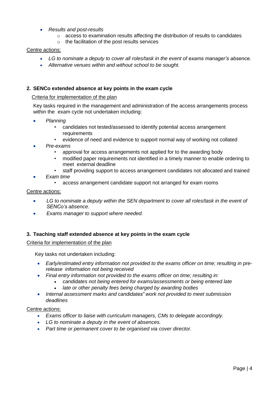- *Results and post-results*
	- $\circ$  access to examination results affecting the distribution of results to candidates
	- $\circ$  the facilitation of the post results services

# Centre actions:

- *LG to nominate a deputy to cover all roles/task in the event of exams manager's absence.*
- *Alternative venues within and without school to be sought.*

# **2. SENCo extended absence at key points in the exam cycle**

# Criteria for implementation of the plan

Key tasks required in the management and administration of the access arrangements process within the exam cycle not undertaken including:

- *Planning*
	- candidates not tested/assessed to identify potential access arrangement requirements
	- evidence of need and evidence to support normal way of working not collated
- *Pre-exams*
	- approval for access arrangements not applied for to the awarding body
	- modified paper requirements not identified in a timely manner to enable ordering to meet external deadline
	- staff providing support to access arrangement candidates not allocated and trained
- *Exam time*
	- access arrangement candidate support not arranged for exam rooms

# Centre actions:

- *LG to nominate a deputy within the SEN department to cover all roles/task in the event of SENCo's absence.*
- *Exams manager to support where needed.*

# <span id="page-3-0"></span>**3. Teaching staff extended absence at key points in the exam cycle**

# Criteria for implementation of the plan

Key tasks not undertaken including:

- *Early/estimated entry information not provided to the exams officer on time; resulting in prerelease information not being received*
- *Final entry information not provided to the exams officer on time; resulting in:*
	- *candidates not being entered for exams/assessments or being entered late*
	- *late or other penalty fees being charged by awarding bodies*
- *Internal assessment marks and candidates" work not provided to meet submission deadlines*

# Centre actions:

- *Exams officer to liaise with curriculum managers, CMs to delegate accordingly.*
- *LG to nominate a deputy in the event of absences.*
- *Part time or permanent cover to be organised via cover director.*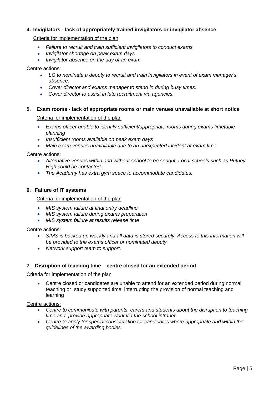# **4. Invigilators - lack of appropriately trained invigilators or invigilator absence**

# Criteria for implementation of the plan

- *Failure to recruit and train sufficient invigilators to conduct exams*
- *Invigilator shortage on peak exam days*
- *Invigilator absence on the day of an exam*

# Centre actions:

- *LG to nominate a deputy to recruit and train invigilators in event of exam manager's absence.*
- *Cover director and exams manager to stand in during busy times.*
- *Cover director to assist in late recruitment via agencies.*

# **5. Exam rooms - lack of appropriate rooms or main venues unavailable at short notice**

# Criteria for implementation of the plan

- *Exams officer unable to identify sufficient/appropriate rooms during exams timetable planning*
- *Insufficient rooms available on peak exam days*
- *Main exam venues unavailable due to an unexpected incident at exam time*

#### Centre actions:

- *Alternative venues within and without school to be sought. Local schools such as Putney High could be contacted.*
- *The Academy has extra gym space to accommodate candidates.*

# **6. Failure of IT systems**

# Criteria for implementation of the plan

- *MIS system failure at final entry deadline*
- *MIS system failure during exams preparation*
- *MIS system failure at results release time*

#### Centre actions:

- *SIMS is backed up weekly and all data is stored securely. Access to this information will be provided to the exams officer or nominated deputy.*
- *Network support team to support.*

# **7. Disruption of teaching time – centre closed for an extended period**

#### Criteria for implementation of the plan

 Centre closed or candidates are unable to attend for an extended period during normal teaching or study supported time, interrupting the provision of normal teaching and learning

#### Centre actions:

- *Centre to communicate with parents, carers and students about the disruption to teaching time and provide appropriate work via the school intranet.*
- *Centre to apply for special consideration for candidates where appropriate and within the guidelines of the awarding bodies.*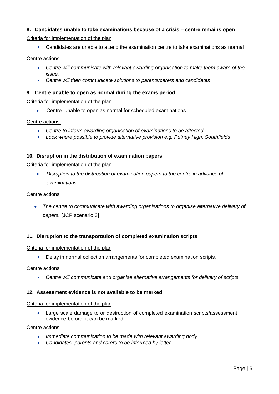# **8. Candidates unable to take examinations because of a crisis – centre remains open**

Criteria for implementation of the plan

Candidates are unable to attend the examination centre to take examinations as normal

# Centre actions:

- *Centre will communicate with relevant awarding organisation to make them aware of the issue.*
- *Centre will then communicate solutions to parents/carers and candidates*

# **9. Centre unable to open as normal during the exams period**

Criteria for implementation of the plan

Centre unable to open as normal for scheduled examinations

#### Centre actions:

- *Centre to inform awarding organisation of examinations to be affected*
- *Look where possible to provide alternative provision e.g. Putney High, Southfields*

#### **10. Disruption in the distribution of examination papers**

Criteria for implementation of the plan

 *Disruption to the distribution of examination papers to the centre in advance of examinations*

#### Centre actions:

 *The centre to communicate with awarding organisations to organise alternative delivery of papers.* [JCP scenario 3]

# **11. Disruption to the transportation of completed examination scripts**

#### Criteria for implementation of the plan

Delay in normal collection arrangements for completed examination scripts*.*

#### Centre actions:

*Centre will communicate and organise alternative arrangements for delivery of scripts.*

#### **12. Assessment evidence is not available to be marked**

#### Criteria for implementation of the plan

 Large scale damage to or destruction of completed examination scripts/assessment evidence before it can be marked

#### Centre actions:

- *Immediate communication to be made with relevant awarding body*
- *Candidates, parents and carers to be informed by letter.*